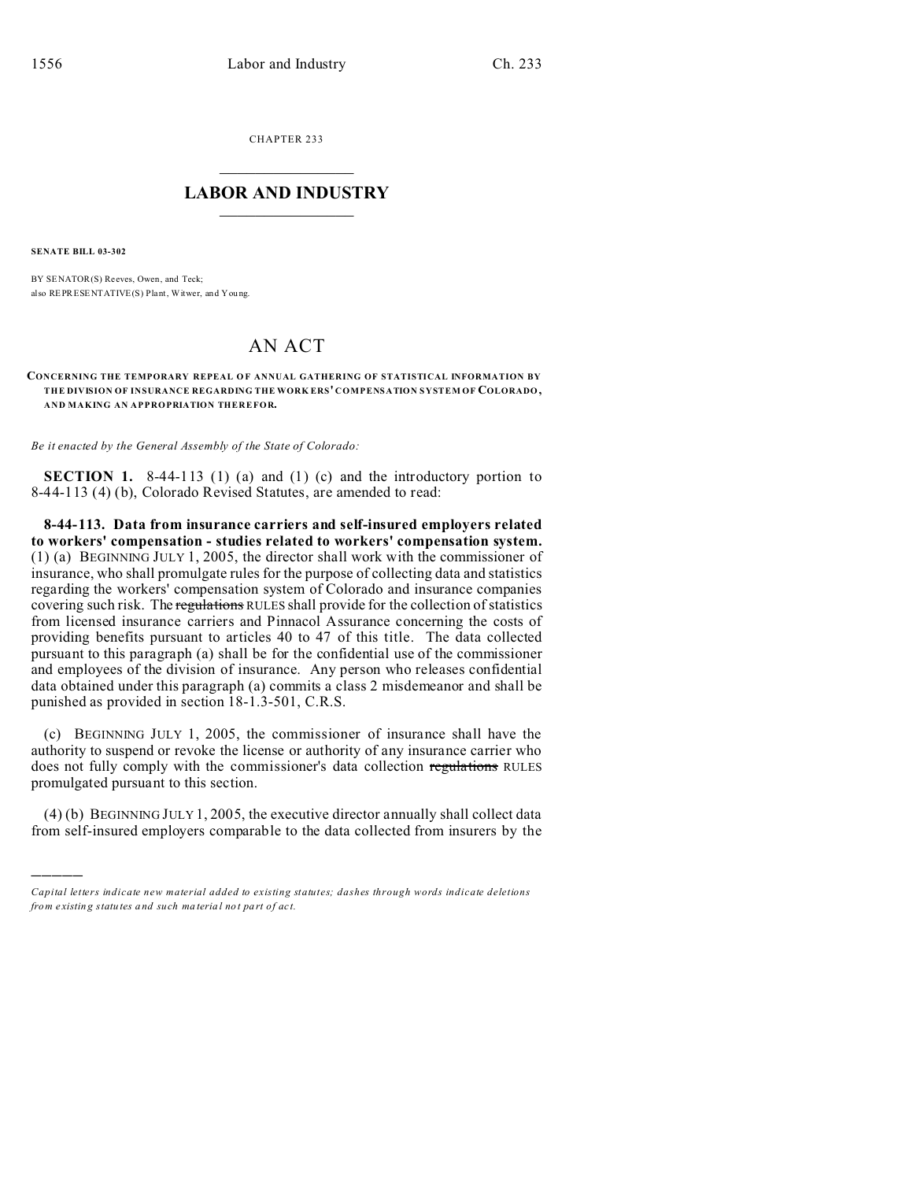CHAPTER 233  $\overline{\phantom{a}}$  , where  $\overline{\phantom{a}}$ 

## **LABOR AND INDUSTRY**  $\frac{1}{\sqrt{2}}$  ,  $\frac{1}{\sqrt{2}}$  ,  $\frac{1}{\sqrt{2}}$  ,  $\frac{1}{\sqrt{2}}$  ,  $\frac{1}{\sqrt{2}}$  ,  $\frac{1}{\sqrt{2}}$

**SENATE BILL 03-302**

)))))

BY SENATOR(S) Reeves, Owen, and Teck; also REPRESENTATIVE(S) Plant, Witwer, and You ng.

## AN ACT

**CONCERNING THE TEMPORARY REPEAL O F ANNUAL GATHERING OF STATISTICAL INFORMATION BY THE DIVISION OF INSURANCE REGARDING THE WORK ERS' COMPENSATION SYSTEM OF COLORADO, AND MAKING AN APPROPRIATION THEREFOR.**

*Be it enacted by the General Assembly of the State of Colorado:*

**SECTION 1.** 8-44-113 (1) (a) and (1) (c) and the introductory portion to 8-44-113 (4) (b), Colorado Revised Statutes, are amended to read:

**8-44-113. Data from insurance carriers and self-insured employers related to workers' compensation - studies related to workers' compensation system.** (1) (a) BEGINNING JULY 1, 2005, the director shall work with the commissioner of insurance, who shall promulgate rules for the purpose of collecting data and statistics regarding the workers' compensation system of Colorado and insurance companies covering such risk. The regulations RULES shall provide for the collection of statistics from licensed insurance carriers and Pinnacol Assurance concerning the costs of providing benefits pursuant to articles 40 to 47 of this title. The data collected pursuant to this paragraph (a) shall be for the confidential use of the commissioner and employees of the division of insurance. Any person who releases confidential data obtained under this paragraph (a) commits a class 2 misdemeanor and shall be punished as provided in section 18-1.3-501, C.R.S.

(c) BEGINNING JULY 1, 2005, the commissioner of insurance shall have the authority to suspend or revoke the license or authority of any insurance carrier who does not fully comply with the commissioner's data collection regulations RULES promulgated pursuant to this section.

(4) (b) BEGINNING JULY 1, 2005, the executive director annually shall collect data from self-insured employers comparable to the data collected from insurers by the

*Capital letters indicate new material added to existing statutes; dashes through words indicate deletions from e xistin g statu tes a nd such ma teria l no t pa rt of ac t.*